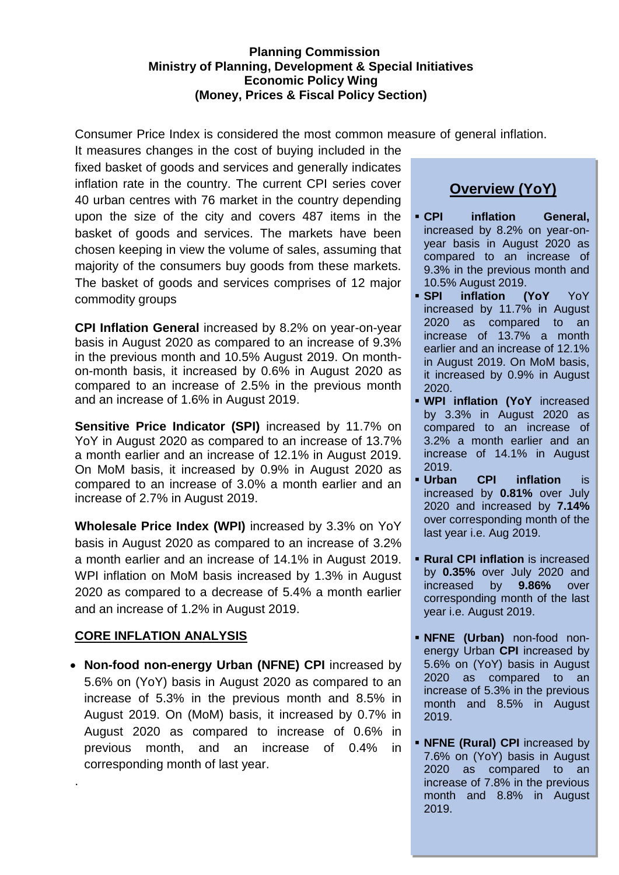#### **Planning Commission Ministry of Planning, Development & Special Initiatives Economic Policy Wing (Money, Prices & Fiscal Policy Section)**

Consumer Price Index is considered the most common measure of general inflation.

It measures changes in the cost of buying included in the fixed basket of goods and services and generally indicates inflation rate in the country. The current CPI series cover 40 urban centres with 76 market in the country depending upon the size of the city and covers 487 items in the basket of goods and services. The markets have been chosen keeping in view the volume of sales, assuming that majority of the consumers buy goods from these markets. The basket of goods and services comprises of 12 major commodity groups

**CPI Inflation General** increased by 8.2% on year-on-year basis in August 2020 as compared to an increase of 9.3% in the previous month and 10.5% August 2019. On monthon-month basis, it increased by 0.6% in August 2020 as compared to an increase of 2.5% in the previous month and an increase of 1.6% in August 2019.

**Sensitive Price Indicator (SPI)** increased by 11.7% on YoY in August 2020 as compared to an increase of 13.7% a month earlier and an increase of 12.1% in August 2019. On MoM basis, it increased by 0.9% in August 2020 as compared to an increase of 3.0% a month earlier and an increase of 2.7% in August 2019.

**Wholesale Price Index (WPI)** increased by 3.3% on YoY basis in August 2020 as compared to an increase of 3.2% a month earlier and an increase of 14.1% in August 2019. WPI inflation on MoM basis increased by 1.3% in August 2020 as compared to a decrease of 5.4% a month earlier and an increase of 1.2% in August 2019.

### **CORE INFLATION ANALYSIS**

.

 **Non-food non-energy Urban (NFNE) CPI** increased by 5.6% on (YoY) basis in August 2020 as compared to an increase of 5.3% in the previous month and 8.5% in August 2019. On (MoM) basis, it increased by 0.7% in August 2020 as compared to increase of 0.6% in previous month, and an increase of 0.4% in corresponding month of last year.

# **Overview (YoY)**

- **CPI inflation General,** increased by 8.2% on year-onyear basis in August 2020 as compared to an increase of 9.3% in the previous month and 10.5% August 2019.
- **SPI inflation (YoY** YoY increased by 11.7% in August 2020 as compared to an increase of 13.7% a month earlier and an increase of 12.1% in August 2019. On MoM basis, it increased by 0.9% in August 2020.
- **WPI inflation (YoY** increased by 3.3% in August 2020 as compared to an increase of 3.2% a month earlier and an increase of 14.1% in August 2019.
- **Urban CPI inflation** is increased by **0.81%** over July 2020 and increased by **7.14%**  over corresponding month of the last year i.e. Aug 2019.
- **Rural CPI inflation** is increased by **0.35%** over July 2020 and increased by **9.86%** over corresponding month of the last year i.e. August 2019.
- **NFNE (Urban)** non-food nonenergy Urban **CPI** increased by 5.6% on (YoY) basis in August 2020 as compared to an increase of 5.3% in the previous month and 8.5% in August 2019.
- **NFNE (Rural) CPI** increased by 7.6% on (YoY) basis in August 2020 as compared to an increase of 7.8% in the previous month and 8.8% in August 2019.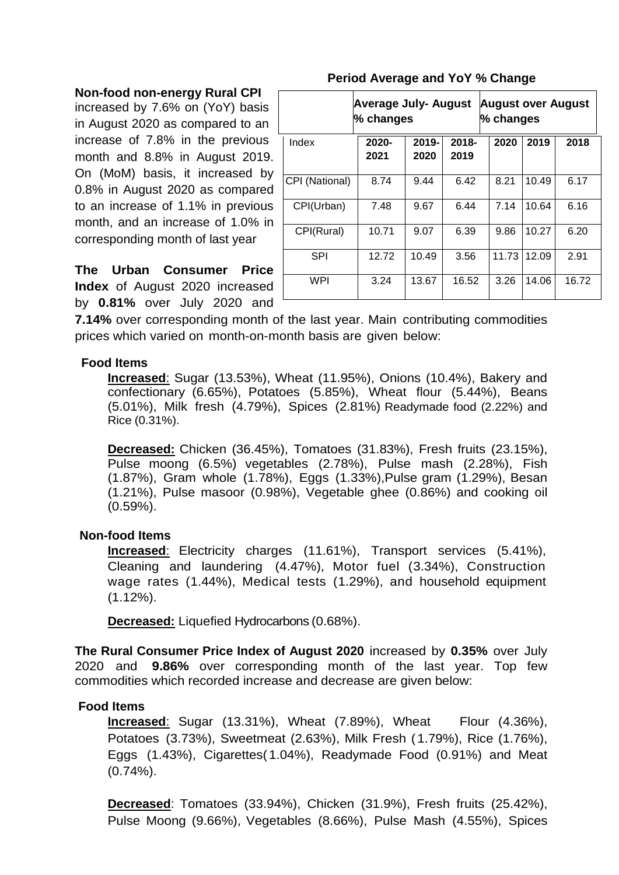|  | <b>Non-food non-energy Rural CPI</b> |  |
|--|--------------------------------------|--|
|--|--------------------------------------|--|

increased by 7.6% on (YoY) basis in August 2020 as compared to an increase of 7.8% in the previous month and 8.8% in August 2019. On (MoM) basis, it increased by 0.8% in August 2020 as compared to an increase of 1.1% in previous month, and an increase of 1.0% in corresponding month of last year

**The Urban Consumer Price Index** of August 2020 increased by **0.81%** over July 2020 and

|                | <b>Average July- August</b><br>% changes |               |                  | <b>August over August</b><br>% changes |       |       |  |
|----------------|------------------------------------------|---------------|------------------|----------------------------------------|-------|-------|--|
| Index          | 2020-<br>2021                            | 2019-<br>2020 | $2018 -$<br>2019 | 2020                                   | 2019  | 2018  |  |
| CPI (National) | 8.74                                     | 9.44          | 6.42             | 8.21                                   | 10.49 | 6.17  |  |
| CPI(Urban)     | 7.48                                     | 9.67          | 6.44             | 7.14                                   | 10.64 | 6.16  |  |
| CPI(Rural)     | 10.71                                    | 9.07          | 6.39             | 9.86                                   | 10.27 | 6.20  |  |
| SPI            | 12.72                                    | 10.49         | 3.56             | 11.73                                  | 12.09 | 2.91  |  |
| WPI            | 3.24                                     | 13.67         | 16.52            | 3.26                                   | 14.06 | 16.72 |  |

#### **Period Average and YoY % Change**

**7.14%** over corresponding month of the last year. Main contributing commodities prices which varied on month-on-month basis are given below:

#### **Food Items**

**Increased**: Sugar (13.53%), Wheat (11.95%), Onions (10.4%), Bakery and confectionary (6.65%), Potatoes (5.85%), Wheat flour (5.44%), Beans (5.01%), Milk fresh (4.79%), Spices (2.81%) Readymade food (2.22%) and Rice (0.31%).

**Decreased:** Chicken (36.45%), Tomatoes (31.83%), Fresh fruits (23.15%), Pulse moong (6.5%) vegetables (2.78%), Pulse mash (2.28%), Fish (1.87%), Gram whole (1.78%), Eggs (1.33%),Pulse gram (1.29%), Besan (1.21%), Pulse masoor (0.98%), Vegetable ghee (0.86%) and cooking oil (0.59%).

#### **Non-food Items**

**Increased**: Electricity charges (11.61%), Transport services (5.41%), Cleaning and laundering (4.47%), Motor fuel (3.34%), Construction wage rates (1.44%), Medical tests (1.29%), and household equipment  $(1.12\%)$ .

**Decreased:** Liquefied Hydrocarbons (0.68%).

**The Rural Consumer Price Index of August 2020** increased by **0.35%** over July 2020 and **9.86%** over corresponding month of the last year. Top few commodities which recorded increase and decrease are given below:

#### **Food Items**

**Increased:** Sugar (13.31%), Wheat (7.89%), Wheat Flour (4.36%), Potatoes (3.73%), Sweetmeat (2.63%), Milk Fresh ( 1.79%), Rice (1.76%), Eggs (1.43%), Cigarettes( 1.04%), Readymade Food (0.91%) and Meat (0.74%).

**Decreased**: Tomatoes (33.94%), Chicken (31.9%), Fresh fruits (25.42%), Pulse Moong (9.66%), Vegetables (8.66%), Pulse Mash (4.55%), Spices